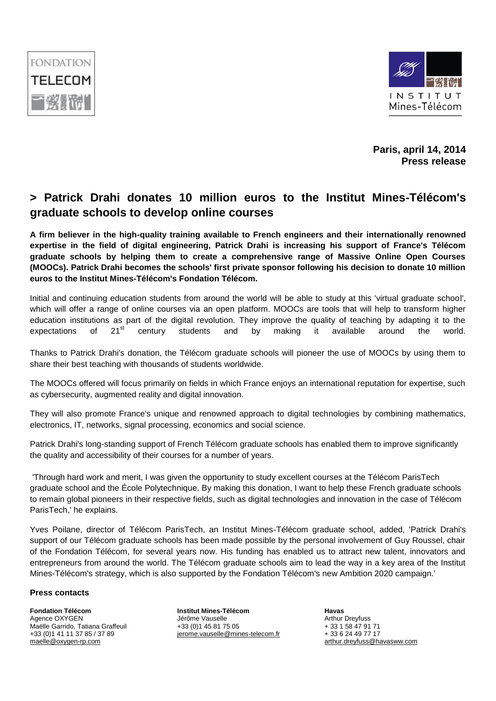



**Paris, april 14, 2014 Press release**

## **> Patrick Drahi donates 10 million euros to the Institut Mines-Télécom's graduate schools to develop online courses**

**A firm believer in the high-quality training available to French engineers and their internationally renowned expertise in the field of digital engineering, Patrick Drahi is increasing his support of France's Télécom graduate schools by helping them to create a comprehensive range of Massive Online Open Courses (MOOCs). Patrick Drahi becomes the schools' first private sponsor following his decision to donate 10 million euros to the Institut Mines-Télécom's Fondation Télécom.**

Initial and continuing education students from around the world will be able to study at this 'virtual graduate school', which will offer a range of online courses via an open platform. MOOCs are tools that will help to transform higher education institutions as part of the digital revolution. They improve the quality of teaching by adapting it to the expectations of 21<sup>st</sup> century students and by making it available around the world.

Thanks to Patrick Drahi's donation, the Télécom graduate schools will pioneer the use of MOOCs by using them to share their best teaching with thousands of students worldwide.

The MOOCs offered will focus primarily on fields in which France enjoys an international reputation for expertise, such as cybersecurity, augmented reality and digital innovation.

They will also promote France's unique and renowned approach to digital technologies by combining mathematics, electronics, IT, networks, signal processing, economics and social science.

Patrick Drahi's long-standing support of French Télécom graduate schools has enabled them to improve significantly the quality and accessibility of their courses for a number of years.

'Through hard work and merit, I was given the opportunity to study excellent courses at the Télécom ParisTech graduate school and the École Polytechnique. By making this donation, I want to help these French graduate schools to remain global pioneers in their respective fields, such as digital technologies and innovation in the case of Télécom ParisTech,' he explains.

Yves Poilane, director of Télécom ParisTech, an Institut Mines-Télécom graduate school, added, 'Patrick Drahi's support of our Télécom graduate schools has been made possible by the personal involvement of Guy Roussel, chair of the Fondation Télécom, for several years now. His funding has enabled us to attract new talent, innovators and entrepreneurs from around the world. The Télécom graduate schools aim to lead the way in a key area of the Institut Mines-Télécom's strategy, which is also supported by the Fondation Télécom's new Ambition 2020 campaign.'

## **Press contacts**

**Fondation Télécom** Agence OXYGEN Maëlle Garrido, Tatiana Graffeuil +33 (0)1 41 11 37 85 / 37 89 [maelle@oxygen-rp.com](mailto:maelle@oxygen-rp.com)

**Institut Mines-Télécom** Jérôme Vauselle +33 (0)1 45 81 75 05 [jerome.vauselle@mines-telecom.fr](mailto:jerome.vauselle@mines-telecom.fr) **Havas**  Arthur Dreyfuss + 33 1 58 47 91 71 + 33 6 24 49 77 17 [arthur.dreyfuss@havasww.com](mailto:arthur.dreyfuss@havasww.com)